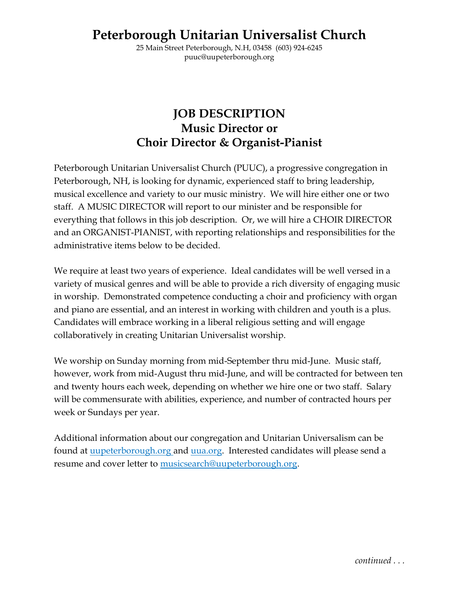# **Peterborough Unitarian Universalist Church**

25 Main Street Peterborough, N.H, 03458 (603) 924-6245 puuc@uupeterborough.org

# **JOB DESCRIPTION Music Director or Choir Director & Organist-Pianist**

Peterborough Unitarian Universalist Church (PUUC), a progressive congregation in Peterborough, NH, is looking for dynamic, experienced staff to bring leadership, musical excellence and variety to our music ministry. We will hire either one or two staff. A MUSIC DIRECTOR will report to our minister and be responsible for everything that follows in this job description. Or, we will hire a CHOIR DIRECTOR and an ORGANIST-PIANIST, with reporting relationships and responsibilities for the administrative items below to be decided.

We require at least two years of experience. Ideal candidates will be well versed in a variety of musical genres and will be able to provide a rich diversity of engaging music in worship. Demonstrated competence conducting a choir and proficiency with organ and piano are essential, and an interest in working with children and youth is a plus. Candidates will embrace working in a liberal religious setting and will engage collaboratively in creating Unitarian Universalist worship.

We worship on Sunday morning from mid-September thru mid-June. Music staff, however, work from mid-August thru mid-June, and will be contracted for between ten and twenty hours each week, depending on whether we hire one or two staff. Salary will be commensurate with abilities, experience, and number of contracted hours per week or Sundays per year.

Additional information about our congregation and Unitarian Universalism can be found at [uupeterborough.org](file:///C:/Users/user/Documents/00PUUC/Music%20Task%20Force/Job%20Description/uupeterborough.org) and [uua.org.](file:///C:/Users/user/Documents/00PUUC/Music%20Task%20Force/Job%20Description/uua.org) Interested candidates will please send a resume and cover letter to [musicsearch@uupeterborough.org.](mailto:musicsearch@uupeterborough.org)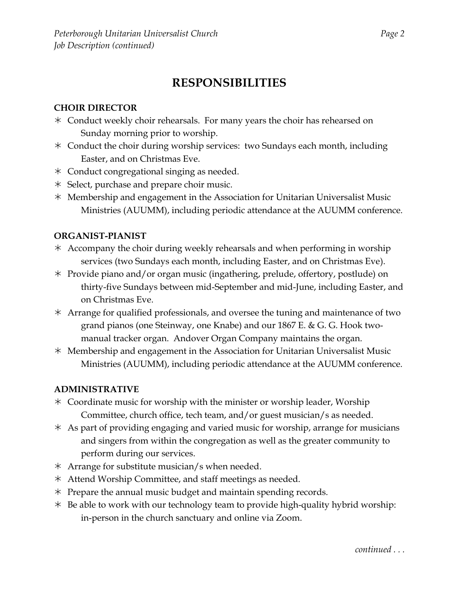# **RESPONSIBILITIES**

## **CHOIR DIRECTOR**

- Conduct weekly choir rehearsals. For many years the choir has rehearsed on Sunday morning prior to worship.
- Conduct the choir during worship services: two Sundays each month, including Easter, and on Christmas Eve.
- Conduct congregational singing as needed.
- $*$  Select, purchase and prepare choir music.
- $*$  Membership and engagement in the Association for Unitarian Universalist Music Ministries (AUUMM), including periodic attendance at the AUUMM conference.

#### **ORGANIST-PIANIST**

- $*$  Accompany the choir during weekly rehearsals and when performing in worship services (two Sundays each month, including Easter, and on Christmas Eve).
- Provide piano and/or organ music (ingathering, prelude, offertory, postlude) on thirty-five Sundays between mid-September and mid-June, including Easter, and on Christmas Eve.
- Arrange for qualified professionals, and oversee the tuning and maintenance of two grand pianos (one Steinway, one Knabe) and our 1867 E. & G. G. Hook twomanual tracker organ. Andover Organ Company maintains the organ.
- $*$  Membership and engagement in the Association for Unitarian Universalist Music Ministries (AUUMM), including periodic attendance at the AUUMM conference.

#### **ADMINISTRATIVE**

- Coordinate music for worship with the minister or worship leader, Worship Committee, church office, tech team, and/or guest musician/s as needed.
- As part of providing engaging and varied music for worship, arrange for musicians and singers from within the congregation as well as the greater community to perform during our services.
- $*$  Arrange for substitute musician/s when needed.
- Attend Worship Committee, and staff meetings as needed.
- $*$  Prepare the annual music budget and maintain spending records.
- $*$  Be able to work with our technology team to provide high-quality hybrid worship: in-person in the church sanctuary and online via Zoom.

*continued . . .*